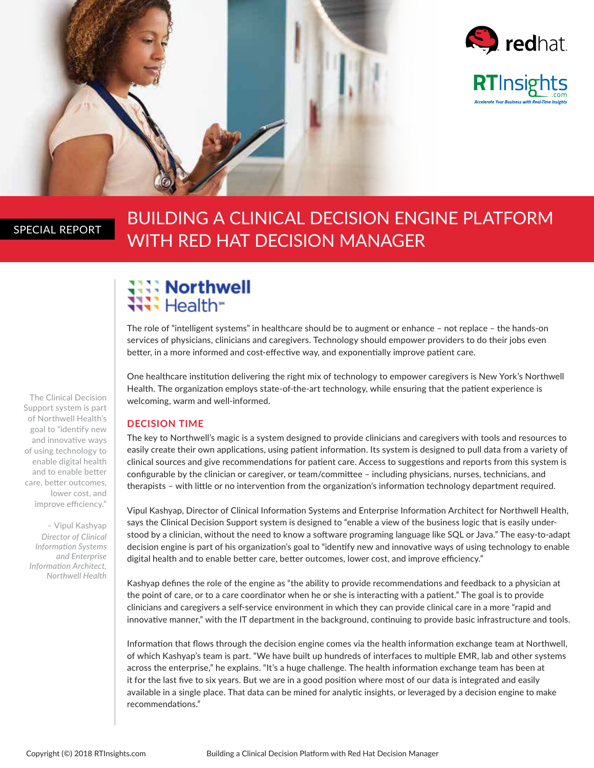



### SPECIAL REPORT

## BUILDING A CLINICAL DECISION ENGINE PLATFORM WITH RED HAT DECISION MANAGER

# ः **Northwell**<br>स्रे Health®

The role of "intelligent systems" in healthcare should be to augment or enhance – not replace – the hands-on services of physicians, clinicians and caregivers. Technology should empower providers to do their jobs even better, in a more informed and cost-effective way, and exponentially improve patient care.

One healthcare institution delivering the right mix of technology to empower caregivers is New York's Northwell Health. The organization employs state-of-the-art technology, while ensuring that the patient experience is welcoming, warm and well-informed.

#### **DECISION TIME**

The key to Northwell's magic is a system designed to provide clinicians and caregivers with tools and resources to easily create their own applications, using patient information. Its system is designed to pull data from a variety of clinical sources and give recommendations for patient care. Access to suggestions and reports from this system is configurable by the clinician or caregiver, or team/committee – including physicians, nurses, technicians, and therapists – with little or no intervention from the organization's information technology department required.

Vipul Kashyap, Director of Clinical Information Systems and Enterprise Information Architect for Northwell Health, says the Clinical Decision Support system is designed to "enable a view of the business logic that is easily understood by a clinician, without the need to know a software programing language like SQL or Java." The easy-to-adapt decision engine is part of his organization's goal to "identify new and innovative ways of using technology to enable digital health and to enable better care, better outcomes, lower cost, and improve efficiency."

Kashyap defines the role of the engine as "the ability to provide recommendations and feedback to a physician at the point of care, or to a care coordinator when he or she is interacting with a patient." The goal is to provide clinicians and caregivers a self-service environment in which they can provide clinical care in a more "rapid and innovative manner," with the IT department in the background, continuing to provide basic infrastructure and tools.

Information that flows through the decision engine comes via the health information exchange team at Northwell, of which Kashyap's team is part. "We have built up hundreds of interfaces to multiple EMR, lab and other systems across the enterprise," he explains. "It's a huge challenge. The health information exchange team has been at it for the last five to six years. But we are in a good position where most of our data is integrated and easily available in a single place. That data can be mined for analytic insights, or leveraged by a decision engine to make recommendations."

The Clinical Decision Support system is part of Northwell Health's goal to "identify new and innovative ways of using technology to enable digital health and to enable better care, better outcomes, lower cost, and improve efficiency."

– Vipul Kashyap *Director of Clinical Information Systems and Enterprise Information Architect, Northwell Health*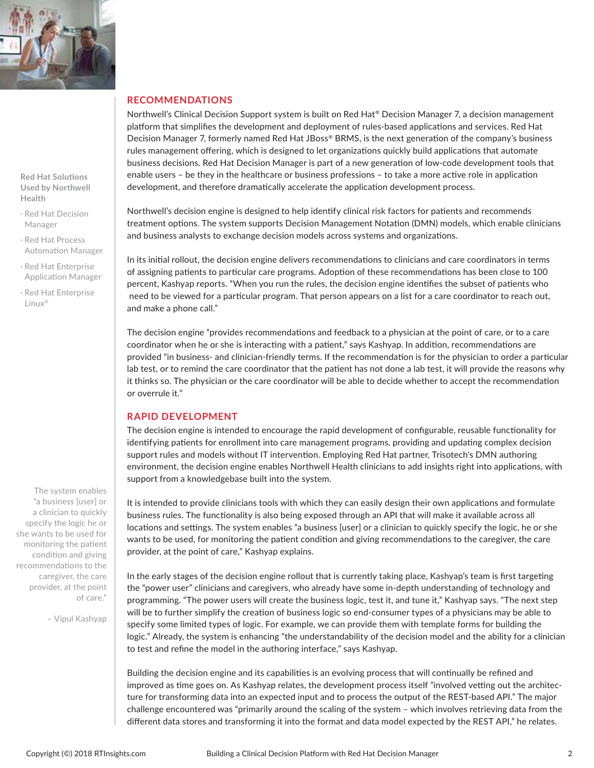

**Red Hat Solutions Used by Northwell Health**

- · Red Hat Decision Manager
- · Red Hat Process Automation Manager
- · Red Hat Enterprise Application Manager
- · Red Hat Enterprise Linux®

The system enables "a business [user] or a clinician to quickly specify the logic he or she wants to be used for monitoring the patient condition and giving recommendations to the caregiver, the care provider, at the point of care."

– Vipul Kashyap

#### **RECOMMENDATIONS**

Northwell's Clinical Decision Support system is built on Red Hat® Decision Manager 7, a decision management platform that simplifies the development and deployment of rules-based applications and services. Red Hat Decision Manager 7, formerly named Red Hat JBoss® BRMS, is the next generation of the company's business rules management offering, which is designed to let organizations quickly build applications that automate business decisions. Red Hat Decision Manager is part of a new generation of low-code development tools that enable users – be they in the healthcare or business professions – to take a more active role in application development, and therefore dramatically accelerate the application development process.

Northwell's decision engine is designed to help identify clinical risk factors for patients and recommends treatment options. The system supports Decision Management Notation (DMN) models, which enable clinicians and business analysts to exchange decision models across systems and organizations.

In its initial rollout, the decision engine delivers recommendations to clinicians and care coordinators in terms of assigning patients to particular care programs. Adoption of these recommendations has been close to 100 percent, Kashyap reports. "When you run the rules, the decision engine identifies the subset of patients who need to be viewed for a particular program. That person appears on a list for a care coordinator to reach out, and make a phone call."

The decision engine "provides recommendations and feedback to a physician at the point of care, or to a care coordinator when he or she is interacting with a patient," says Kashyap. In addition, recommendations are provided "in business- and clinician-friendly terms. If the recommendation is for the physician to order a particular lab test, or to remind the care coordinator that the patient has not done a lab test, it will provide the reasons why it thinks so. The physician or the care coordinator will be able to decide whether to accept the recommendation or overrule it."

#### **RAPID DEVELOPMENT**

The decision engine is intended to encourage the rapid development of configurable, reusable functionality for identifying patients for enrollment into care management programs, providing and updating complex decision support rules and models without IT intervention. Employing Red Hat partner, Trisotech's DMN authoring environment, the decision engine enables Northwell Health clinicians to add insights right into applications, with support from a knowledgebase built into the system.

It is intended to provide clinicians tools with which they can easily design their own applications and formulate business rules. The functionality is also being exposed through an API that will make it available across all locations and settings. The system enables "a business [user] or a clinician to quickly specify the logic, he or she wants to be used, for monitoring the patient condition and giving recommendations to the caregiver, the care provider, at the point of care," Kashyap explains.

In the early stages of the decision engine rollout that is currently taking place, Kashyap's team is first targeting the "power user" clinicians and caregivers, who already have some in-depth understanding of technology and programming. "The power users will create the business logic, test it, and tune it," Kashyap says. "The next step will be to further simplify the creation of business logic so end-consumer types of a physicians may be able to specify some limited types of logic. For example, we can provide them with template forms for building the logic." Already, the system is enhancing "the understandability of the decision model and the ability for a clinician to test and refine the model in the authoring interface," says Kashyap.

Building the decision engine and its capabilities is an evolving process that will continually be refined and improved as time goes on. As Kashyap relates, the development process itself "involved vetting out the architecture for transforming data into an expected input and to process the output of the REST-based API." The major challenge encountered was "primarily around the scaling of the system – which involves retrieving data from the different data stores and transforming it into the format and data model expected by the REST API," he relates.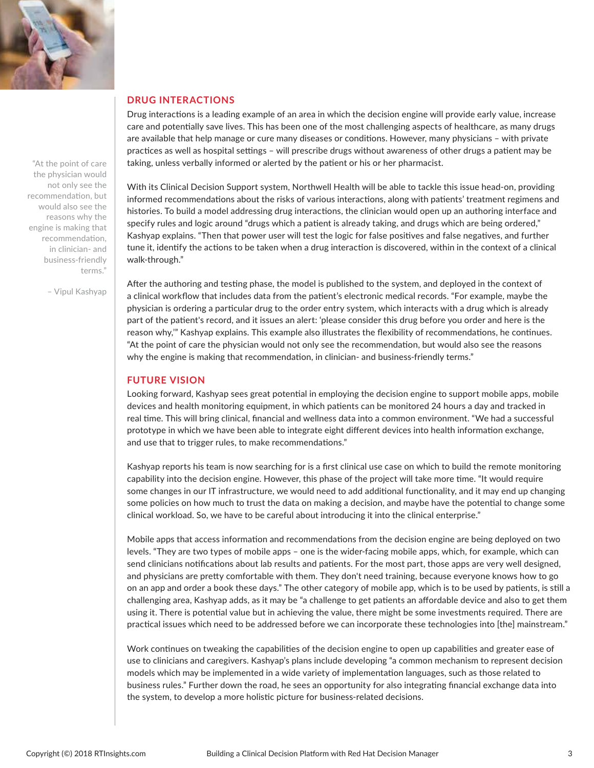

"At the point of care the physician would not only see the recommendation, but would also see the reasons why the engine is making that recommendation, in clinician- and business-friendly terms."

– Vipul Kashyap

#### **DRUG INTERACTIONS**

Drug interactions is a leading example of an area in which the decision engine will provide early value, increase care and potentially save lives. This has been one of the most challenging aspects of healthcare, as many drugs are available that help manage or cure many diseases or conditions. However, many physicians – with private practices as well as hospital settings – will prescribe drugs without awareness of other drugs a patient may be taking, unless verbally informed or alerted by the patient or his or her pharmacist.

With its Clinical Decision Support system, Northwell Health will be able to tackle this issue head-on, providing informed recommendations about the risks of various interactions, along with patients' treatment regimens and histories. To build a model addressing drug interactions, the clinician would open up an authoring interface and specify rules and logic around "drugs which a patient is already taking, and drugs which are being ordered," Kashyap explains. "Then that power user will test the logic for false positives and false negatives, and further tune it, identify the actions to be taken when a drug interaction is discovered, within in the context of a clinical walk-through."

After the authoring and testing phase, the model is published to the system, and deployed in the context of a clinical workflow that includes data from the patient's electronic medical records. "For example, maybe the physician is ordering a particular drug to the order entry system, which interacts with a drug which is already part of the patient's record, and it issues an alert: 'please consider this drug before you order and here is the reason why,'" Kashyap explains. This example also illustrates the flexibility of recommendations, he continues. "At the point of care the physician would not only see the recommendation, but would also see the reasons why the engine is making that recommendation, in clinician- and business-friendly terms."

#### **FUTURE VISION**

Looking forward, Kashyap sees great potential in employing the decision engine to support mobile apps, mobile devices and health monitoring equipment, in which patients can be monitored 24 hours a day and tracked in real time. This will bring clinical, financial and wellness data into a common environment. "We had a successful prototype in which we have been able to integrate eight different devices into health information exchange, and use that to trigger rules, to make recommendations."

Kashyap reports his team is now searching for is a first clinical use case on which to build the remote monitoring capability into the decision engine. However, this phase of the project will take more time. "It would require some changes in our IT infrastructure, we would need to add additional functionality, and it may end up changing some policies on how much to trust the data on making a decision, and maybe have the potential to change some clinical workload. So, we have to be careful about introducing it into the clinical enterprise."

Mobile apps that access information and recommendations from the decision engine are being deployed on two levels. "They are two types of mobile apps – one is the wider-facing mobile apps, which, for example, which can send clinicians notifications about lab results and patients. For the most part, those apps are very well designed, and physicians are pretty comfortable with them. They don't need training, because everyone knows how to go on an app and order a book these days." The other category of mobile app, which is to be used by patients, is still a challenging area, Kashyap adds, as it may be "a challenge to get patients an affordable device and also to get them using it. There is potential value but in achieving the value, there might be some investments required. There are practical issues which need to be addressed before we can incorporate these technologies into [the] mainstream."

Work continues on tweaking the capabilities of the decision engine to open up capabilities and greater ease of use to clinicians and caregivers. Kashyap's plans include developing "a common mechanism to represent decision models which may be implemented in a wide variety of implementation languages, such as those related to business rules." Further down the road, he sees an opportunity for also integrating financial exchange data into the system, to develop a more holistic picture for business-related decisions.